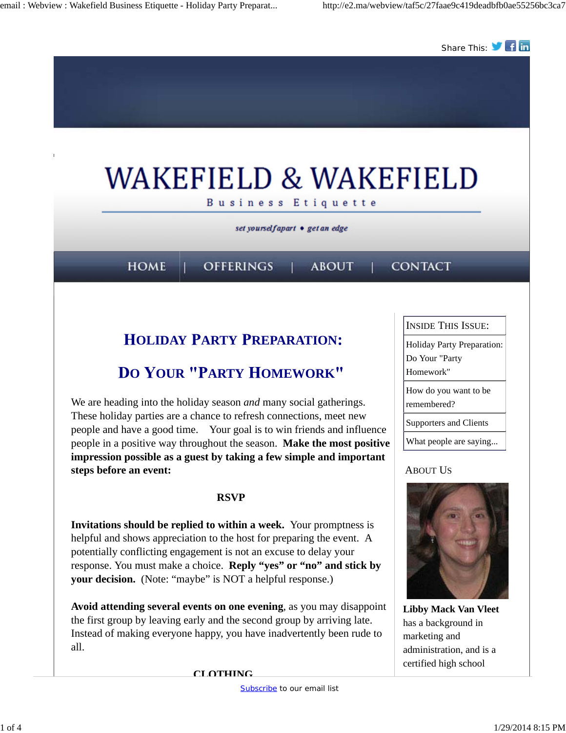

 **CLOTHING**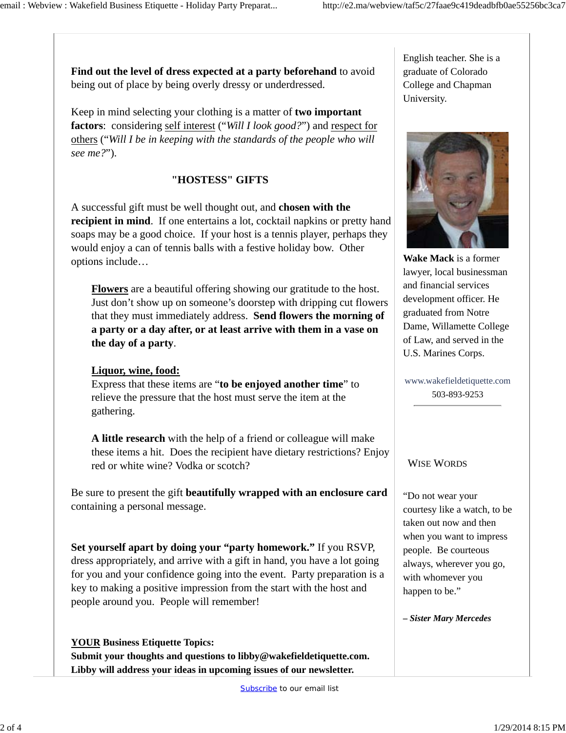**Find out the level of dress expected at a party beforehand** to avoid being out of place by being overly dressy or underdressed.

Keep in mind selecting your clothing is a matter of **two important factors**: considering self interest ("*Will I look good?*") and respect for others ("*Will I be in keeping with the standards of the people who will see me?*").

### **"HOSTESS" GIFTS**

A successful gift must be well thought out, and **chosen with the recipient in mind**. If one entertains a lot, cocktail napkins or pretty hand soaps may be a good choice. If your host is a tennis player, perhaps they would enjoy a can of tennis balls with a festive holiday bow. Other options include…

**Flowers** are a beautiful offering showing our gratitude to the host. Just don't show up on someone's doorstep with dripping cut flowers that they must immediately address. **Send flowers the morning of a party or a day after, or at least arrive with them in a vase on the day of a party**.

### **Liquor, wine, food:**

Express that these items are "**to be enjoyed another time**" to relieve the pressure that the host must serve the item at the gathering.

**A little research** with the help of a friend or colleague will make these items a hit. Does the recipient have dietary restrictions? Enjoy red or white wine? Vodka or scotch?

Be sure to present the gift **beautifully wrapped with an enclosure card** containing a personal message.

**Set yourself apart by doing your "party homework."** If you RSVP, dress appropriately, and arrive with a gift in hand, you have a lot going for you and your confidence going into the event. Party preparation is a key to making a positive impression from the start with the host and people around you. People will remember!

**YOUR Business Etiquette Topics: Submit your thoughts and questions to libby@wakefieldetiquette.com. Libby will address your ideas in upcoming issues of our newsletter.**

English teacher. She is a graduate of Colorado College and Chapman University.



**Wake Mack** is a former lawyer, local businessman and financial services development officer. He graduated from Notre Dame, Willamette College of Law, and served in the U.S. Marines Corps.

www.wakefieldetiquette.com 503-893-9253

### WISE WORDS

"Do not wear your courtesy like a watch, to be taken out now and then when you want to impress people. Be courteous always, wherever you go, with whomever you happen to be."

*– Sister Mary Mercedes*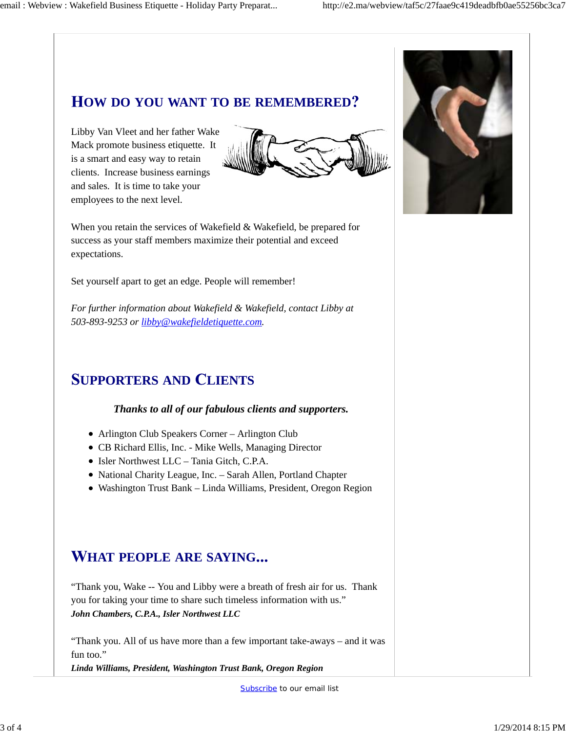# **OW DO YOU WANT TO BE REMEMBERED**

Libby Van Vleet and her father Wake Mack promote business etiquette. It is a smart and easy way to retain clients. Increase business earnings and sales. It is time to take your employees to the next level.



When you retain the services of Wakefield & Wakefield, be prepared for success as your staff members maximize their potential and exceed expectations.

Set yourself apart to get an edge. People will remember!

*For further information about Wakefield & Wakefield, contact Libby at 503-893-9253 or libby@wakefieldetiquette.com.*

# **UPPORTERS AND LIENTS**

#### *Thanks to all of our fabulous clients and supporters.*

- Arlington Club Speakers Corner Arlington Club
- CB Richard Ellis, Inc. Mike Wells, Managing Director
- Isler Northwest LLC Tania Gitch, C.P.A.
- National Charity League, Inc. Sarah Allen, Portland Chapter
- Washington Trust Bank Linda Williams, President, Oregon Region

# **HAT PEOPLE ARE SAYING**

"Thank you, Wake -- You and Libby were a breath of fresh air for us. Thank you for taking your time to share such timeless information with us." *John Chambers, C.P.A., Isler Northwest LLC*

"Thank you. All of us have more than a few important take-aways – and it was fun too."

*Linda Williams, President, Washington Trust Bank, Oregon Region*